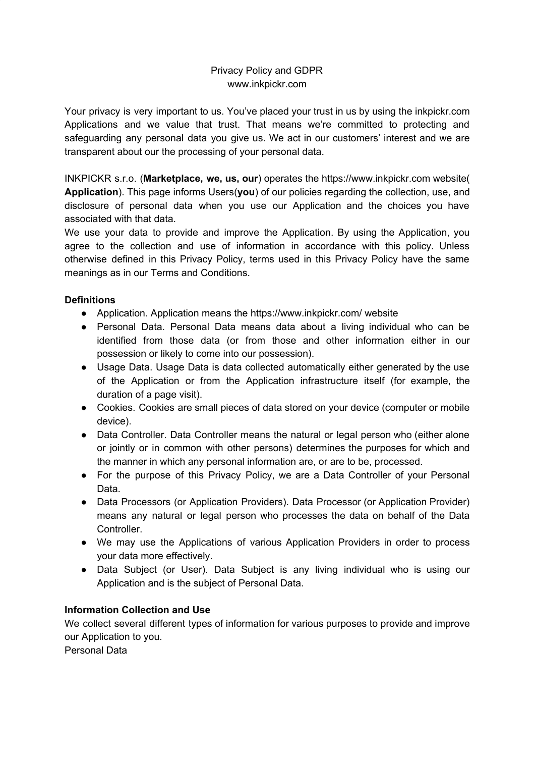# Privacy Policy and GDPR www.inkpickr.com

Your privacy is very important to us. You've placed your trust in us by using the inkpickr.com Applications and we value that trust. That means we're committed to protecting and safeguarding any personal data you give us. We act in our customers' interest and we are transparent about our the processing of your personal data.

INKPICKR s.r.o. (**Marketplace, we, us, our**) operates the https://www.inkpickr.com website( **Application**). This page informs Users(**you**) of our policies regarding the collection, use, and disclosure of personal data when you use our Application and the choices you have associated with that data.

We use your data to provide and improve the Application. By using the Application, you agree to the collection and use of information in accordance with this policy. Unless otherwise defined in this Privacy Policy, terms used in this Privacy Policy have the same meanings as in our Terms and Conditions.

# **Definitions**

- Application. Application means the https://www.inkpickr.com/ website
- Personal Data. Personal Data means data about a living individual who can be identified from those data (or from those and other information either in our possession or likely to come into our possession).
- Usage Data. Usage Data is data collected automatically either generated by the use of the Application or from the Application infrastructure itself (for example, the duration of a page visit).
- Cookies. Cookies are small pieces of data stored on your device (computer or mobile device).
- Data Controller. Data Controller means the natural or legal person who (either alone or jointly or in common with other persons) determines the purposes for which and the manner in which any personal information are, or are to be, processed.
- For the purpose of this Privacy Policy, we are a Data Controller of your Personal Data.
- Data Processors (or Application Providers). Data Processor (or Application Provider) means any natural or legal person who processes the data on behalf of the Data Controller.
- We may use the Applications of various Application Providers in order to process your data more effectively.
- Data Subject (or User). Data Subject is any living individual who is using our Application and is the subject of Personal Data.

# **Information Collection and Use**

We collect several different types of information for various purposes to provide and improve our Application to you.

Personal Data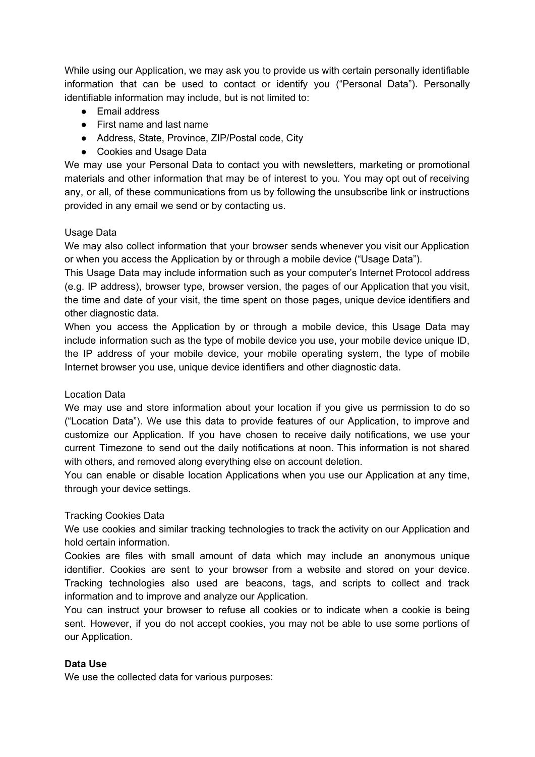While using our Application, we may ask you to provide us with certain personally identifiable information that can be used to contact or identify you ("Personal Data"). Personally identifiable information may include, but is not limited to:

- Email address
- First name and last name
- Address, State, Province, ZIP/Postal code, City
- Cookies and Usage Data

We may use your Personal Data to contact you with newsletters, marketing or promotional materials and other information that may be of interest to you. You may opt out of receiving any, or all, of these communications from us by following the unsubscribe link or instructions provided in any email we send or by contacting us.

### Usage Data

We may also collect information that your browser sends whenever you visit our Application or when you access the Application by or through a mobile device ("Usage Data").

This Usage Data may include information such as your computer's Internet Protocol address (e.g. IP address), browser type, browser version, the pages of our Application that you visit, the time and date of your visit, the time spent on those pages, unique device identifiers and other diagnostic data.

When you access the Application by or through a mobile device, this Usage Data may include information such as the type of mobile device you use, your mobile device unique ID, the IP address of your mobile device, your mobile operating system, the type of mobile Internet browser you use, unique device identifiers and other diagnostic data.

# Location Data

We may use and store information about your location if you give us permission to do so ("Location Data"). We use this data to provide features of our Application, to improve and customize our Application. If you have chosen to receive daily notifications, we use your current Timezone to send out the daily notifications at noon. This information is not shared with others, and removed along everything else on account deletion.

You can enable or disable location Applications when you use our Application at any time, through your device settings.

# Tracking Cookies Data

We use cookies and similar tracking technologies to track the activity on our Application and hold certain information.

Cookies are files with small amount of data which may include an anonymous unique identifier. Cookies are sent to your browser from a website and stored on your device. Tracking technologies also used are beacons, tags, and scripts to collect and track information and to improve and analyze our Application.

You can instruct your browser to refuse all cookies or to indicate when a cookie is being sent. However, if you do not accept cookies, you may not be able to use some portions of our Application.

# **Data Use**

We use the collected data for various purposes: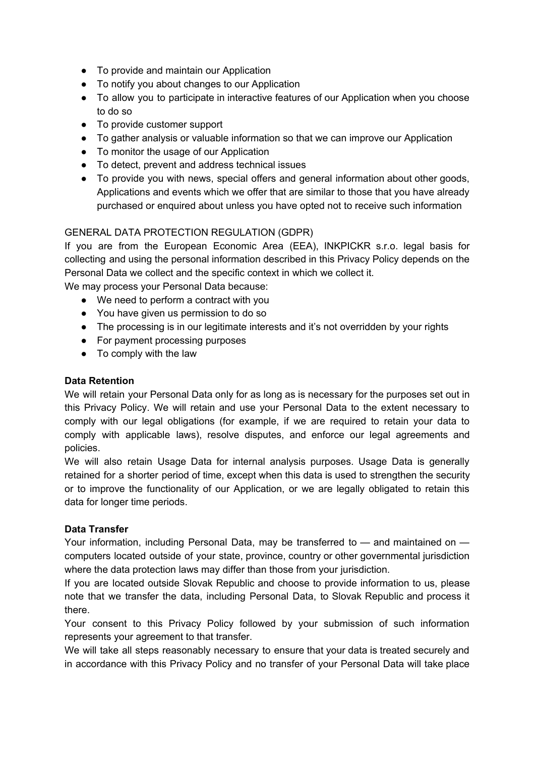- To provide and maintain our Application
- To notify you about changes to our Application
- To allow you to participate in interactive features of our Application when you choose to do so
- To provide customer support
- To gather analysis or valuable information so that we can improve our Application
- To monitor the usage of our Application
- To detect, prevent and address technical issues
- To provide you with news, special offers and general information about other goods, Applications and events which we offer that are similar to those that you have already purchased or enquired about unless you have opted not to receive such information

# GENERAL DATA PROTECTION REGULATION (GDPR)

If you are from the European Economic Area (EEA), INKPICKR s.r.o. legal basis for collecting and using the personal information described in this Privacy Policy depends on the Personal Data we collect and the specific context in which we collect it.

We may process your Personal Data because:

- We need to perform a contract with you
- You have given us permission to do so
- The processing is in our legitimate interests and it's not overridden by your rights
- For payment processing purposes
- To comply with the law

### **Data Retention**

We will retain your Personal Data only for as long as is necessary for the purposes set out in this Privacy Policy. We will retain and use your Personal Data to the extent necessary to comply with our legal obligations (for example, if we are required to retain your data to comply with applicable laws), resolve disputes, and enforce our legal agreements and policies.

We will also retain Usage Data for internal analysis purposes. Usage Data is generally retained for a shorter period of time, except when this data is used to strengthen the security or to improve the functionality of our Application, or we are legally obligated to retain this data for longer time periods.

# **Data Transfer**

Your information, including Personal Data, may be transferred to — and maintained on computers located outside of your state, province, country or other governmental jurisdiction where the data protection laws may differ than those from your jurisdiction.

If you are located outside Slovak Republic and choose to provide information to us, please note that we transfer the data, including Personal Data, to Slovak Republic and process it there.

Your consent to this Privacy Policy followed by your submission of such information represents your agreement to that transfer.

We will take all steps reasonably necessary to ensure that your data is treated securely and in accordance with this Privacy Policy and no transfer of your Personal Data will take place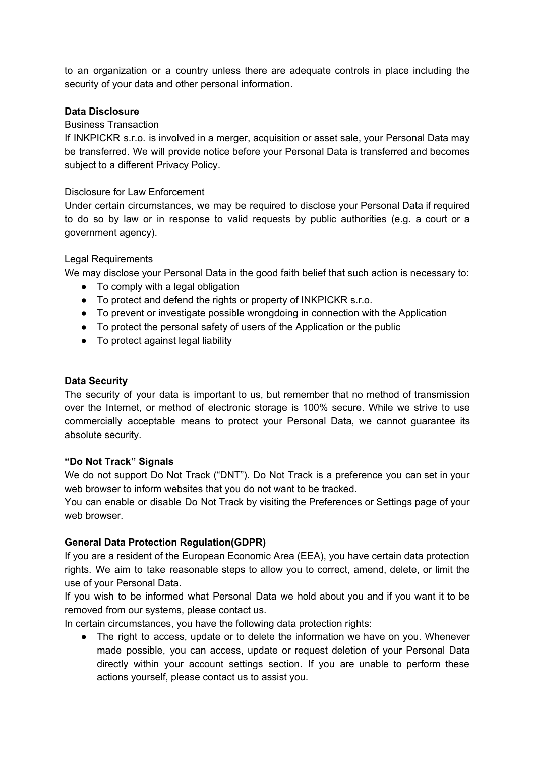to an organization or a country unless there are adequate controls in place including the security of your data and other personal information.

#### **Data Disclosure**

### Business Transaction

If INKPICKR s.r.o. is involved in a merger, acquisition or asset sale, your Personal Data may be transferred. We will provide notice before your Personal Data is transferred and becomes subject to a different Privacy Policy.

#### Disclosure for Law Enforcement

Under certain circumstances, we may be required to disclose your Personal Data if required to do so by law or in response to valid requests by public authorities (e.g. a court or a government agency).

#### Legal Requirements

We may disclose your Personal Data in the good faith belief that such action is necessary to:

- To comply with a legal obligation
- To protect and defend the rights or property of INKPICKR s.r.o.
- To prevent or investigate possible wrongdoing in connection with the Application
- To protect the personal safety of users of the Application or the public
- To protect against legal liability

#### **Data Security**

The security of your data is important to us, but remember that no method of transmission over the Internet, or method of electronic storage is 100% secure. While we strive to use commercially acceptable means to protect your Personal Data, we cannot guarantee its absolute security.

#### **"Do Not Track" Signals**

We do not support Do Not Track ("DNT"). Do Not Track is a preference you can set in your web browser to inform websites that you do not want to be tracked.

You can enable or disable Do Not Track by visiting the Preferences or Settings page of your web browser.

#### **General Data Protection Regulation(GDPR)**

If you are a resident of the European Economic Area (EEA), you have certain data protection rights. We aim to take reasonable steps to allow you to correct, amend, delete, or limit the use of your Personal Data.

If you wish to be informed what Personal Data we hold about you and if you want it to be removed from our systems, please contact us.

In certain circumstances, you have the following data protection rights:

• The right to access, update or to delete the information we have on you. Whenever made possible, you can access, update or request deletion of your Personal Data directly within your account settings section. If you are unable to perform these actions yourself, please contact us to assist you.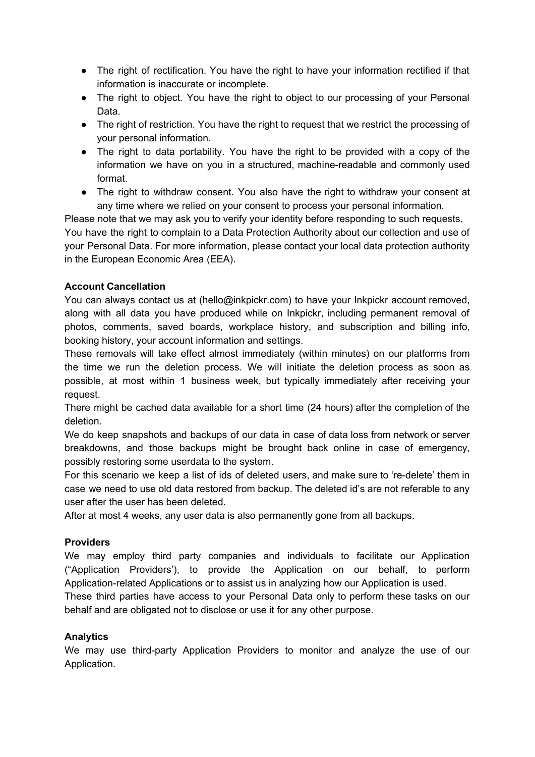- The right of rectification. You have the right to have your information rectified if that information is inaccurate or incomplete.
- The right to object. You have the right to object to our processing of your Personal Data.
- The right of restriction. You have the right to request that we restrict the processing of your personal information.
- The right to data portability. You have the right to be provided with a copy of the information we have on you in a structured, machine-readable and commonly used format.
- The right to withdraw consent. You also have the right to withdraw your consent at any time where we relied on your consent to process your personal information.

Please note that we may ask you to verify your identity before responding to such requests. You have the right to complain to a Data Protection Authority about our collection and use of your Personal Data. For more information, please contact your local data protection authority in the European Economic Area (EEA).

# **Account Cancellation**

You can always contact us at (hello@inkpickr.com) to have your Inkpickr account removed, along with all data you have produced while on Inkpickr, including permanent removal of photos, comments, saved boards, workplace history, and subscription and billing info, booking history, your account information and settings.

These removals will take effect almost immediately (within minutes) on our platforms from the time we run the deletion process. We will initiate the deletion process as soon as possible, at most within 1 business week, but typically immediately after receiving your request.

There might be cached data available for a short time (24 hours) after the completion of the deletion.

We do keep snapshots and backups of our data in case of data loss from network or server breakdowns, and those backups might be brought back online in case of emergency, possibly restoring some userdata to the system.

For this scenario we keep a list of ids of deleted users, and make sure to 're-delete' them in case we need to use old data restored from backup. The deleted id's are not referable to any user after the user has been deleted.

After at most 4 weeks, any user data is also permanently gone from all backups.

# **Providers**

We may employ third party companies and individuals to facilitate our Application ("Application Providers'), to provide the Application on our behalf, to perform Application-related Applications or to assist us in analyzing how our Application is used.

These third parties have access to your Personal Data only to perform these tasks on our behalf and are obligated not to disclose or use it for any other purpose.

# **Analytics**

We may use third-party Application Providers to monitor and analyze the use of our Application.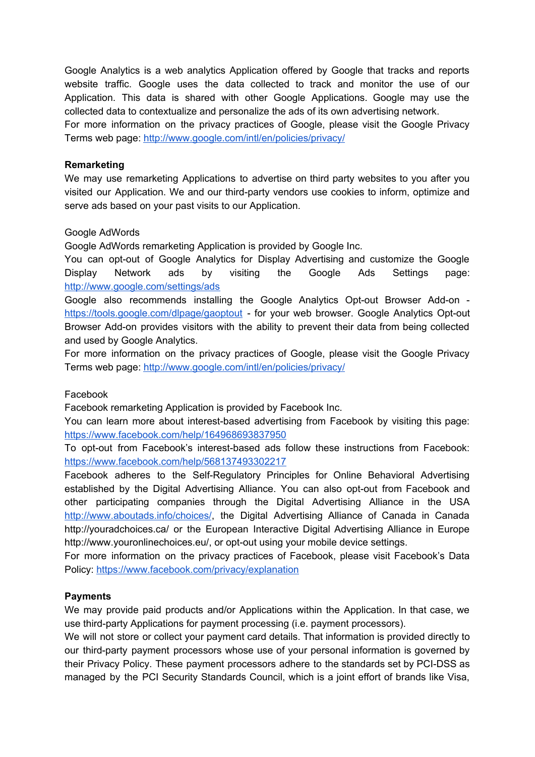Google Analytics is a web analytics Application offered by Google that tracks and reports website traffic. Google uses the data collected to track and monitor the use of our Application. This data is shared with other Google Applications. Google may use the collected data to contextualize and personalize the ads of its own advertising network.

For more information on the privacy practices of Google, please visit the Google Privacy Terms web page: <http://www.google.com/intl/en/policies/privacy/>

#### **Remarketing**

We may use remarketing Applications to advertise on third party websites to you after you visited our Application. We and our third-party vendors use cookies to inform, optimize and serve ads based on your past visits to our Application.

#### Google AdWords

Google AdWords remarketing Application is provided by Google Inc.

You can opt-out of Google Analytics for Display Advertising and customize the Google Display Network ads by visiting the Google Ads Settings page: <http://www.google.com/settings/ads>

Google also recommends installing the Google Analytics Opt-out Browser Add-on <https://tools.google.com/dlpage/gaoptout> - for your web browser. Google Analytics Opt-out Browser Add-on provides visitors with the ability to prevent their data from being collected and used by Google Analytics.

For more information on the privacy practices of Google, please visit the Google Privacy Terms web page: <http://www.google.com/intl/en/policies/privacy/>

#### Facebook

Facebook remarketing Application is provided by Facebook Inc.

You can learn more about interest-based advertising from Facebook by visiting this page: <https://www.facebook.com/help/164968693837950>

To opt-out from Facebook's interest-based ads follow these instructions from Facebook: <https://www.facebook.com/help/568137493302217>

Facebook adheres to the Self-Regulatory Principles for Online Behavioral Advertising established by the Digital Advertising Alliance. You can also opt-out from Facebook and other participating companies through the Digital Advertising Alliance in the USA [http://www.aboutads.info/choices/,](http://www.aboutads.info/choices/) the Digital Advertising Alliance of Canada in Canada http://youradchoices.ca/ or the European Interactive Digital Advertising Alliance in Europe http://www.youronlinechoices.eu/, or opt-out using your mobile device settings.

For more information on the privacy practices of Facebook, please visit Facebook's Data Policy: <https://www.facebook.com/privacy/explanation>

# **Payments**

We may provide paid products and/or Applications within the Application. In that case, we use third-party Applications for payment processing (i.e. payment processors).

We will not store or collect your payment card details. That information is provided directly to our third-party payment processors whose use of your personal information is governed by their Privacy Policy. These payment processors adhere to the standards set by PCI-DSS as managed by the PCI Security Standards Council, which is a joint effort of brands like Visa,